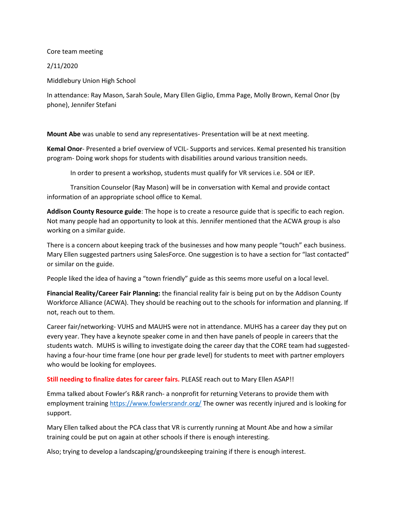Core team meeting

2/11/2020

Middlebury Union High School

In attendance: Ray Mason, Sarah Soule, Mary Ellen Giglio, Emma Page, Molly Brown, Kemal Onor (by phone), Jennifer Stefani

**Mount Abe** was unable to send any representatives- Presentation will be at next meeting.

**Kemal Onor**- Presented a brief overview of VCIL- Supports and services. Kemal presented his transition program- Doing work shops for students with disabilities around various transition needs.

In order to present a workshop, students must qualify for VR services i.e. 504 or IEP.

Transition Counselor (Ray Mason) will be in conversation with Kemal and provide contact information of an appropriate school office to Kemal.

**Addison County Resource guide**: The hope is to create a resource guide that is specific to each region. Not many people had an opportunity to look at this. Jennifer mentioned that the ACWA group is also working on a similar guide.

There is a concern about keeping track of the businesses and how many people "touch" each business. Mary Ellen suggested partners using SalesForce. One suggestion is to have a section for "last contacted" or similar on the guide.

People liked the idea of having a "town friendly" guide as this seems more useful on a local level.

**Financial Reality/Career Fair Planning:** the financial reality fair is being put on by the Addison County Workforce Alliance (ACWA). They should be reaching out to the schools for information and planning. If not, reach out to them.

Career fair/networking- VUHS and MAUHS were not in attendance. MUHS has a career day they put on every year. They have a keynote speaker come in and then have panels of people in careers that the students watch. MUHS is willing to investigate doing the career day that the CORE team had suggestedhaving a four-hour time frame (one hour per grade level) for students to meet with partner employers who would be looking for employees.

**Still needing to finalize dates for career fairs.** PLEASE reach out to Mary Ellen ASAP!!

Emma talked about Fowler's R&R ranch- a nonprofit for returning Veterans to provide them with employment trainin[g https://www.fowlersrandr.org/](https://www.fowlersrandr.org/) The owner was recently injured and is looking for support.

Mary Ellen talked about the PCA class that VR is currently running at Mount Abe and how a similar training could be put on again at other schools if there is enough interesting.

Also; trying to develop a landscaping/groundskeeping training if there is enough interest.